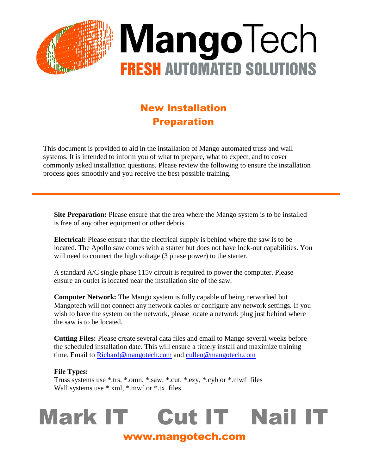

### New Installation Preparation

This document is provided to aid in the installation of Mango automated truss and wall systems. It is intended to inform you of what to prepare, what to expect, and to cover commonly asked installation questions. Please review the following to ensure the installation process goes smoothly and you receive the best possible training.

**Site Preparation:** Please ensure that the area where the Mango system is to be installed is free of any other equipment or other debris.

**Electrical:** Please ensure that the electrical supply is behind where the saw is to be located. The Apollo saw comes with a starter but does not have lock-out capabilities. You will need to connect the high voltage (3 phase power) to the starter.

A standard A/C single phase 115v circuit is required to power the computer. Please ensure an outlet is located near the installation site of the saw.

**Computer Network:** The Mango system is fully capable of being networked but Mangotech will not connect any network cables or configure any network settings. If you wish to have the system on the network, please locate a network plug just behind where the saw is to be located.

**Cutting Files:** Please create several data files and email to Mango several weeks before the scheduled installation date. This will ensure a timely install and maximize training time. Email to [Richard@mangotech.com](mailto:Richard@mangotech.com) and [cullen@mangotech.com](mailto:cullen@mangotech.com)

#### **File Types:**

Truss systems use \*.trs, \*.omn, \*.saw, \*.cut, \*.ezy, \*.cyb or \*.mwf files Wall systems use \*.xml, \*.mwf or \*.tx files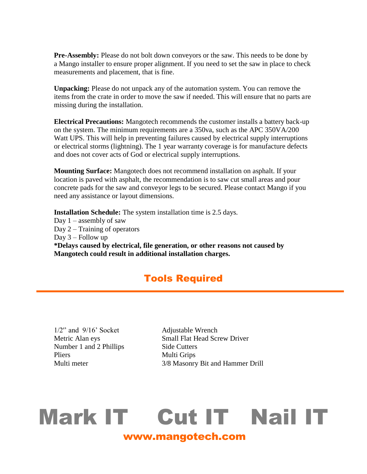**Pre-Assembly:** Please do not bolt down conveyors or the saw. This needs to be done by a Mango installer to ensure proper alignment. If you need to set the saw in place to check measurements and placement, that is fine.

**Unpacking:** Please do not unpack any of the automation system. You can remove the items from the crate in order to move the saw if needed. This will ensure that no parts are missing during the installation.

**Electrical Precautions:** Mangotech recommends the customer installs a battery back-up on the system. The minimum requirements are a 350va, such as the APC 350VA/200 Watt UPS. This will help in preventing failures caused by electrical supply interruptions or electrical storms (lightning). The 1 year warranty coverage is for manufacture defects and does not cover acts of God or electrical supply interruptions.

**Mounting Surface:** Mangotech does not recommend installation on asphalt. If your location is paved with asphalt, the recommendation is to saw cut small areas and pour concrete pads for the saw and conveyor legs to be secured. Please contact Mango if you need any assistance or layout dimensions.

**Installation Schedule:** The system installation time is 2.5 days.

Day  $1 -$  assembly of saw Day 2 – Training of operators Day 3 – Follow up **\*Delays caused by electrical, file generation, or other reasons not caused by Mangotech could result in additional installation charges.**

#### Tools Required

1/2" and  $9/16$ ' Socket Adjustable Wrench Number 1 and 2 Phillips Side Cutters Pliers Multi Grips

Metric Alan eys Small Flat Head Screw Driver Multi meter 3/8 Masonry Bit and Hammer Drill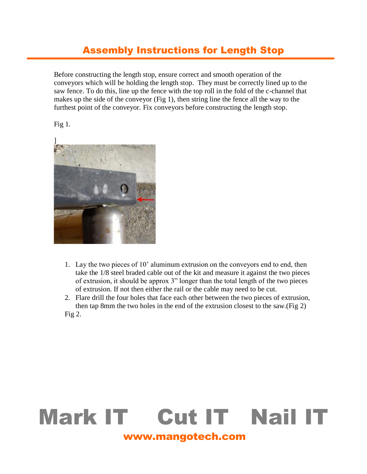#### Assembly Instructions for Length Stop

Before constructing the length stop, ensure correct and smooth operation of the conveyors which will be holding the length stop. They must be correctly lined up to the saw fence. To do this, line up the fence with the top roll in the fold of the c-channel that makes up the side of the conveyor (Fig 1), then string line the fence all the way to the furthest point of the conveyor. Fix conveyors before constructing the length stop.





- 1. Lay the two pieces of 10' aluminum extrusion on the conveyors end to end, then take the 1/8 steel braded cable out of the kit and measure it against the two pieces of extrusion, it should be approx 3" longer than the total length of the two pieces of extrusion. If not then either the rail or the cable may need to be cut.
- 2. Flare drill the four holes that face each other between the two pieces of extrusion, then tap 8mm the two holes in the end of the extrusion closest to the saw.(Fig 2) Fig 2.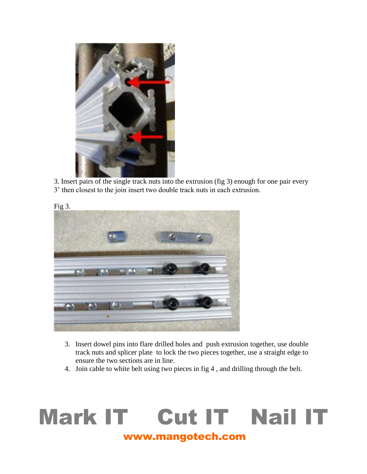

3. Insert pairs of the single track nuts into the extrusion (fig 3) enough for one pair every 3' then closest to the join insert two double track nuts in each extrusion.



- 3. Insert dowel pins into flare drilled holes and push extrusion together, use double track nuts and splicer plate to lock the two pieces together, use a straight edge to ensure the two sections are in line.
- 4. Join cable to white belt using two pieces in fig 4 , and drilling through the belt.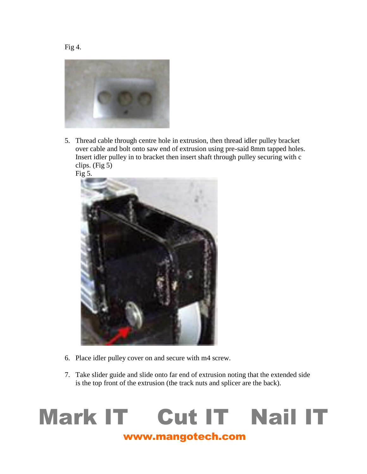

5. Thread cable through centre hole in extrusion, then thread idler pulley bracket over cable and bolt onto saw end of extrusion using pre-said 8mm tapped holes. Insert idler pulley in to bracket then insert shaft through pulley securing with c clips. (Fig 5)



- 6. Place idler pulley cover on and secure with m4 screw.
- 7. Take slider guide and slide onto far end of extrusion noting that the extended side is the top front of the extrusion (the track nuts and splicer are the back).

# www.mangotech.com Mark IT Cut IT Nail IT

Fig 4.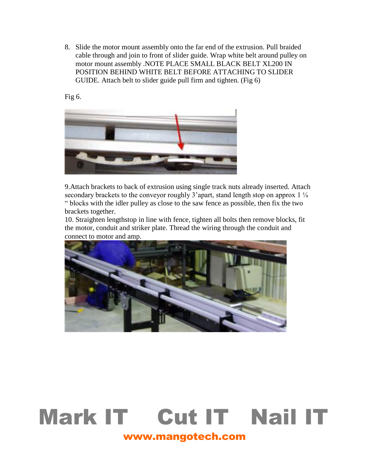8. Slide the motor mount assembly onto the far end of the extrusion. Pull braided cable through and join to front of slider guide. Wrap white belt around pulley on motor mount assembly .NOTE PLACE SMALL BLACK BELT XL200 IN POSITION BEHIND WHITE BELT BEFORE ATTACHING TO SLIDER GUIDE. Attach belt to slider guide pull firm and tighten. (Fig 6)

Fig 6.



9.Attach brackets to back of extrusion using single track nuts already inserted. Attach secondary brackets to the conveyor roughly 3'apart, stand length stop on approx  $1\frac{1}{4}$ " blocks with the idler pulley as close to the saw fence as possible, then fix the two brackets together.

10. Straighten lengthstop in line with fence, tighten all bolts then remove blocks, fit the motor, conduit and striker plate. Thread the wiring through the conduit and connect to motor and amp.

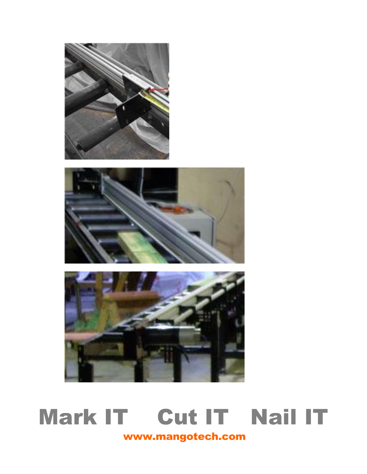



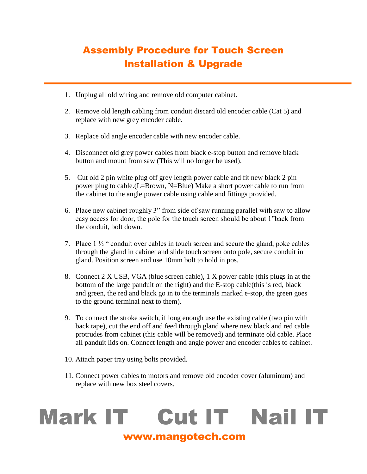### Assembly Procedure for Touch Screen Installation & Upgrade

- 1. Unplug all old wiring and remove old computer cabinet.
- 2. Remove old length cabling from conduit discard old encoder cable (Cat 5) and replace with new grey encoder cable.
- 3. Replace old angle encoder cable with new encoder cable.
- 4. Disconnect old grey power cables from black e-stop button and remove black button and mount from saw (This will no longer be used).
- 5. Cut old 2 pin white plug off grey length power cable and fit new black 2 pin power plug to cable.(L=Brown, N=Blue) Make a short power cable to run from the cabinet to the angle power cable using cable and fittings provided.
- 6. Place new cabinet roughly 3" from side of saw running parallel with saw to allow easy access for door, the pole for the touch screen should be about 1"back from the conduit, bolt down.
- 7. Place 1 ½ " conduit over cables in touch screen and secure the gland, poke cables through the gland in cabinet and slide touch screen onto pole, secure conduit in gland. Position screen and use 10mm bolt to hold in pos.
- 8. Connect 2 X USB, VGA (blue screen cable), 1 X power cable (this plugs in at the bottom of the large panduit on the right) and the E-stop cable(this is red, black and green, the red and black go in to the terminals marked e-stop, the green goes to the ground terminal next to them).
- 9. To connect the stroke switch, if long enough use the existing cable (two pin with back tape), cut the end off and feed through gland where new black and red cable protrudes from cabinet (this cable will be removed) and terminate old cable. Place all panduit lids on. Connect length and angle power and encoder cables to cabinet.
- 10. Attach paper tray using bolts provided.
- 11. Connect power cables to motors and remove old encoder cover (aluminum) and replace with new box steel covers.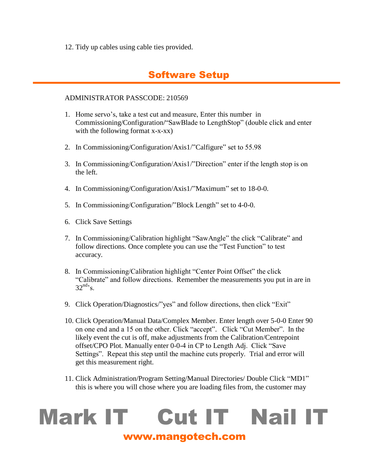12. Tidy up cables using cable ties provided.

#### Software Setup

#### ADMINISTRATOR PASSCODE: 210569

- 1. Home servo's, take a test cut and measure, Enter this number in Commissioning/Configuration/"SawBlade to LengthStop" (double click and enter with the following format x-x-xx)
- 2. In Commissioning/Configuration/Axis1/"Calfigure" set to 55.98
- 3. In Commissioning/Configuration/Axis1/"Direction" enter if the length stop is on the left.
- 4. In Commissioning/Configuration/Axis1/"Maximum" set to 18-0-0.
- 5. In Commissioning/Configuration/"Block Length" set to 4-0-0.
- 6. Click Save Settings
- 7. In Commissioning/Calibration highlight "SawAngle" the click "Calibrate" and follow directions. Once complete you can use the "Test Function" to test accuracy.
- 8. In Commissioning/Calibration highlight "Center Point Offset" the click "Calibrate" and follow directions. Remember the measurements you put in are in  $32^{\text{nd}}$ 's.
- 9. Click Operation/Diagnostics/"yes" and follow directions, then click "Exit"
- 10. Click Operation/Manual Data/Complex Member. Enter length over 5-0-0 Enter 90 on one end and a 15 on the other. Click "accept". Click "Cut Member". In the likely event the cut is off, make adjustments from the Calibration/Centrepoint offset/CPO Plot. Manually enter 0-0-4 in CP to Length Adj. Click "Save Settings". Repeat this step until the machine cuts properly. Trial and error will get this measurement right.
- 11. Click Administration/Program Setting/Manual Directories/ Double Click "MD1" this is where you will chose where you are loading files from, the customer may